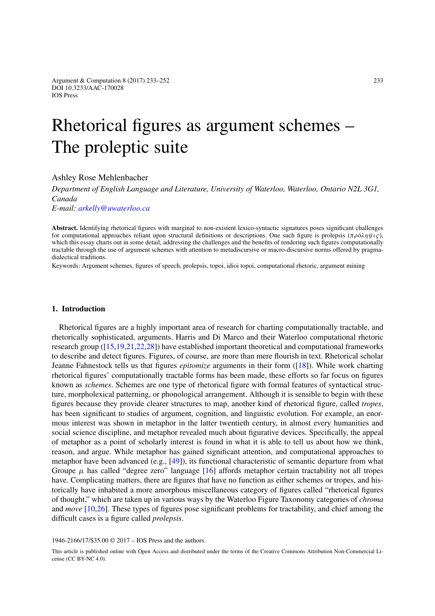Argument & Computation 8 (2017) 233–252 233 DOI 10.3233/AAC-170028 IOS Press

# Rhetorical figures as argument schemes – The proleptic suite

# Ashley Rose Mehlenbacher

*Department of English Language and Literature, University of Waterloo, Waterloo, Ontario N2L 3G1, Canada*

*E-mail: [arkelly@uwaterloo.ca](mailto:arkelly@uwaterloo.ca)*

**Abstract.** Identifying rhetorical figures with marginal to non-existent lexico-syntactic signatures poses significant challenges for computational approaches reliant upon structural definitions or descriptions. One such figure is prolepsis (*πρ*ó*ληψις*), which this essay charts out in some detail, addressing the challenges and the benefits of rendering such figures computationally tractable through the use of argument schemes with attention to metadiscursive or macro-discursive norms offered by pragmadialectical traditions.

Keywords: Argument schemes, figures of speech, prolepsis, topoi, idioi topoi, computational rhetoric, argument mining

# **1. Introduction**

Rhetorical figures are a highly important area of research for charting computationally tractable, and rhetorically sophisticated, arguments. Harris and Di Marco and their Waterloo computational rhetoric research group ([\[15](#page-17-0)[,19](#page-17-1)[,21](#page-17-2)[,22](#page-17-3)[,28](#page-18-0)]) have established important theoretical and computational frameworks to describe and detect figures. Figures, of course, are more than mere flourish in text. Rhetorical scholar Jeanne Fahnestock tells us that figures *epitomize* arguments in their form ([\[18\]](#page-17-4)). While work charting rhetorical figures' computationally tractable forms has been made, these efforts so far focus on figures known as *schemes*. Schemes are one type of rhetorical figure with formal features of syntactical structure, morpholexical patterning, or phonological arrangement. Although it is sensible to begin with these figures because they provide clearer structures to map, another kind of rhetorical figure, called *tropes*, has been significant to studies of argument, cognition, and linguistic evolution. For example, an enormous interest was shown in metaphor in the latter twentieth century, in almost every humanities and social science discipline, and metaphor revealed much about figurative devices. Specifically, the appeal of metaphor as a point of scholarly interest is found in what it is able to tell us about how we think, reason, and argue. While metaphor has gained significant attention, and computational approaches to metaphor have been advanced (e.g., [\[49\]](#page-18-1)), its functional characteristic of semantic departure from what Groupe  $\mu$  has called "degree zero" language [\[16\]](#page-17-5) affords metaphor certain tractability not all tropes have. Complicating matters, there are figures that have no function as either schemes or tropes, and historically have inhabited a more amorphous miscellaneous category of figures called "rhetorical figures of thought," which are taken up in various ways by the Waterloo Figure Taxonomy categories of *chroma* and *move* [\[10](#page-17-6)[,26\]](#page-18-2). These types of figures pose significant problems for tractability, and chief among the difficult cases is a figure called *prolepsis*.

1946-2166/17/\$35.00 © 2017 – IOS Press and the authors.

This article is published online with Open Access and distributed under the terms of the Creative Commons Attribution Non-Commercial License (CC BY-NC 4.0).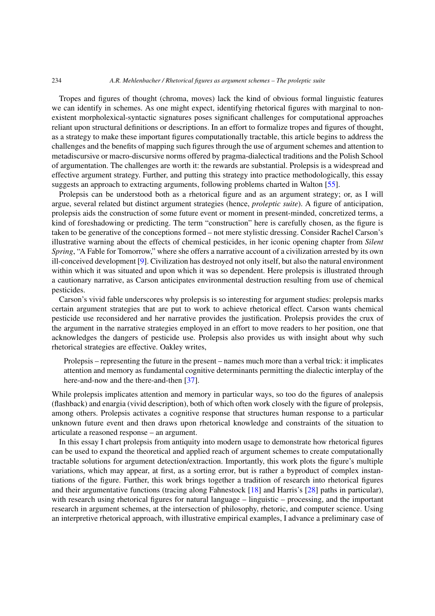#### 234 *A.R. Mehlenbacher / Rhetorical figures as argument schemes – The proleptic suite*

Tropes and figures of thought (chroma, moves) lack the kind of obvious formal linguistic features we can identify in schemes. As one might expect, identifying rhetorical figures with marginal to nonexistent morpholexical-syntactic signatures poses significant challenges for computational approaches reliant upon structural definitions or descriptions. In an effort to formalize tropes and figures of thought, as a strategy to make these important figures computationally tractable, this article begins to address the challenges and the benefits of mapping such figures through the use of argument schemes and attention to metadiscursive or macro-discursive norms offered by pragma-dialectical traditions and the Polish School of argumentation. The challenges are worth it: the rewards are substantial. Prolepsis is a widespread and effective argument strategy. Further, and putting this strategy into practice methodologically, this essay suggests an approach to extracting arguments, following problems charted in Walton [\[55\]](#page-19-0).

Prolepsis can be understood both as a rhetorical figure and as an argument strategy; or, as I will argue, several related but distinct argument strategies (hence, *proleptic suite*). A figure of anticipation, prolepsis aids the construction of some future event or moment in present-minded, concretized terms, a kind of foreshadowing or predicting. The term "construction" here is carefully chosen, as the figure is taken to be generative of the conceptions formed – not mere stylistic dressing. Consider Rachel Carson's illustrative warning about the effects of chemical pesticides, in her iconic opening chapter from *Silent Spring*, "A Fable for Tomorrow," where she offers a narrative account of a civilization arrested by its own ill-conceived development [\[9](#page-17-7)]. Civilization has destroyed not only itself, but also the natural environment within which it was situated and upon which it was so dependent. Here prolepsis is illustrated through a cautionary narrative, as Carson anticipates environmental destruction resulting from use of chemical pesticides.

Carson's vivid fable underscores why prolepsis is so interesting for argument studies: prolepsis marks certain argument strategies that are put to work to achieve rhetorical effect. Carson wants chemical pesticide use reconsidered and her narrative provides the justification. Prolepsis provides the crux of the argument in the narrative strategies employed in an effort to move readers to her position, one that acknowledges the dangers of pesticide use. Prolepsis also provides us with insight about why such rhetorical strategies are effective. Oakley writes,

Prolepsis – representing the future in the present – names much more than a verbal trick: it implicates attention and memory as fundamental cognitive determinants permitting the dialectic interplay of the here-and-now and the there-and-then [\[37\]](#page-18-3).

While prolepsis implicates attention and memory in particular ways, so too do the figures of analepsis (flashback) and enargia (vivid description), both of which often work closely with the figure of prolepsis, among others. Prolepsis activates a cognitive response that structures human response to a particular unknown future event and then draws upon rhetorical knowledge and constraints of the situation to articulate a reasoned response – an argument.

In this essay I chart prolepsis from antiquity into modern usage to demonstrate how rhetorical figures can be used to expand the theoretical and applied reach of argument schemes to create computationally tractable solutions for argument detection/extraction. Importantly, this work plots the figure's multiple variations, which may appear, at first, as a sorting error, but is rather a byproduct of complex instantiations of the figure. Further, this work brings together a tradition of research into rhetorical figures and their argumentative functions (tracing along Fahnestock [\[18\]](#page-17-4) and Harris's [\[28\]](#page-18-0) paths in particular), with research using rhetorical figures for natural language – linguistic – processing, and the important research in argument schemes, at the intersection of philosophy, rhetoric, and computer science. Using an interpretive rhetorical approach, with illustrative empirical examples, I advance a preliminary case of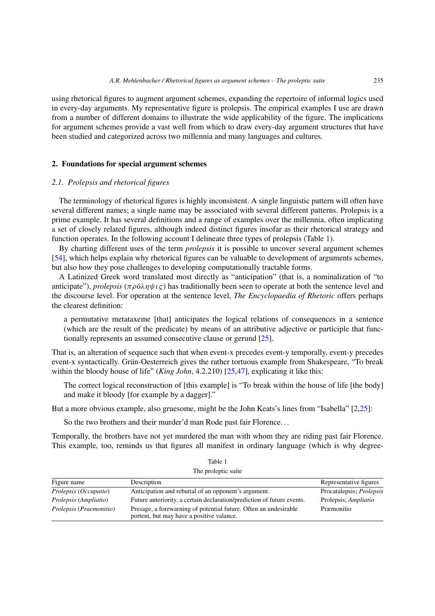using rhetorical figures to augment argument schemes, expanding the repertoire of informal logics used in every-day arguments. My representative figure is prolepsis. The empirical examples I use are drawn from a number of different domains to illustrate the wide applicability of the figure. The implications for argument schemes provide a vast well from which to draw every-day argument structures that have been studied and categorized across two millennia and many languages and cultures.

### **2. Foundations for special argument schemes**

### *2.1. Prolepsis and rhetorical figures*

The terminology of rhetorical figures is highly inconsistent. A single linguistic pattern will often have several different names; a single name may be associated with several different patterns. Prolepsis is a prime example. It has several definitions and a range of examples over the millennia, often implicating a set of closely related figures, although indeed distinct figures insofar as their rhetorical strategy and function operates. In the following account I delineate three types of prolepsis (Table [1\)](#page-2-0).

By charting different uses of the term *prolepsis* it is possible to uncover several argument schemes [\[54](#page-18-4)], which helps explain why rhetorical figures can be valuable to development of arguments schemes, but also how they pose challenges to developing computationally tractable forms.

A Latinized Greek word translated most directly as "anticipation" (that is, a nominalization of "to anticipate"), *prolepsis* (*πρ*ó*ληψις*) has traditionally been seen to operate at both the sentence level and the discourse level. For operation at the sentence level, *The Encyclopaedia of Rhetoric* offers perhaps the clearest definition:

a permutative metataxeme [that] anticipates the logical relations of consequences in a sentence (which are the result of the predicate) by means of an attributive adjective or participle that functionally represents an assumed consecutive clause or gerund [\[25](#page-18-5)].

That is, an alteration of sequence such that when event-x precedes event-y temporally, event-y precedes event-x syntactically. Grün-Oesterreich gives the rather tortuous example from Shakespeare, "To break within the bloody house of life" (*King John*, 4.2.210) [\[25](#page-18-5)[,47](#page-18-6)], explicating it like this:

The correct logical reconstruction of [this example] is "To break within the house of life [the body] and make it bloody [for example by a dagger]."

But a more obvious example, also gruesome, might be the John Keats's lines from "Isabella" [\[2](#page-17-8)[,25](#page-18-5)]:

So the two brothers and their murder'd man Rode past fair Florence. . .

Temporally, the brothers have not yet murdered the man with whom they are riding past fair Florence. This example, too, reminds us that figures all manifest in ordinary language (which is why degree-

<span id="page-2-0"></span>

| Table 1             |  |
|---------------------|--|
| The proleptic suite |  |

| Figure name                    | Description                                                                                                   | Representative figures          |
|--------------------------------|---------------------------------------------------------------------------------------------------------------|---------------------------------|
| Prolepsis (Occupatio)          | Anticipation and rebuttal of an opponent's argument.                                                          | Procatalepsis; <i>Prolepsis</i> |
| <i>Prolepsis (Ampliatio)</i>   | Future anteriority, a certain declaration/prediction of future events.                                        | Prolepsis; Ampliatio            |
| <i>Prolepsis (Praemonitio)</i> | Presage, a forewarning of potential future. Often an undesirable<br>portent, but may have a positive valance. | Præmonitio                      |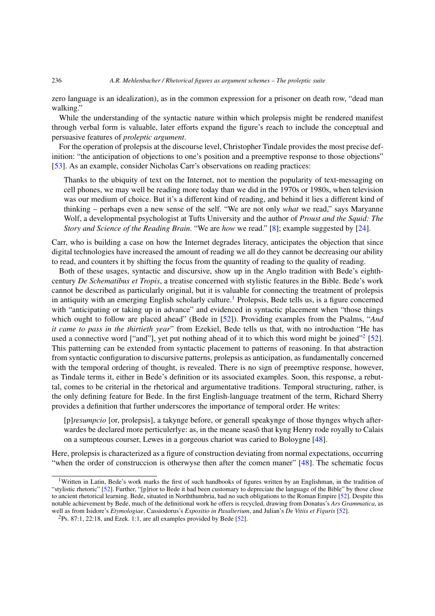zero language is an idealization), as in the common expression for a prisoner on death row, "dead man walking."

While the understanding of the syntactic nature within which prolepsis might be rendered manifest through verbal form is valuable, later efforts expand the figure's reach to include the conceptual and persuasive features of *proleptic argument*.

For the operation of prolepsis at the discourse level, Christopher Tindale provides the most precise definition: "the anticipation of objections to one's position and a preemptive response to those objections" [\[53](#page-18-7)]. As an example, consider Nicholas Carr's observations on reading practices:

Thanks to the ubiquity of text on the Internet, not to mention the popularity of text-messaging on cell phones, we may well be reading more today than we did in the 1970s or 1980s, when television was our medium of choice. But it's a different kind of reading, and behind it lies a different kind of thinking – perhaps even a new sense of the self. "We are not only *what* we read," says Maryanne Wolf, a developmental psychologist at Tufts University and the author of *Proust and the Squid: The Story and Science of the Reading Brain*. "We are *how* we read." [\[8\]](#page-17-9); example suggested by [\[24](#page-18-8)].

Carr, who is building a case on how the Internet degrades literacy, anticipates the objection that since digital technologies have increased the amount of reading we all do they cannot be decreasing our ability to read, and counters it by shifting the focus from the quantity of reading to the quality of reading.

Both of these usages, syntactic and discursive, show up in the Anglo tradition with Bede's eighthcentury *De Schematibus et Tropis*, a treatise concerned with stylistic features in the Bible. Bede's work cannot be described as particularly original, but it is valuable for connecting the treatment of prolepsis in antiquity with an emerging English scholarly culture.<sup>[1](#page-3-0)</sup> Prolepsis, Bede tells us, is a figure concerned with "anticipating or taking up in advance" and evidenced in syntactic placement when "those things which ought to follow are placed ahead" (Bede in [\[52\]](#page-18-9)). Providing examples from the Psalms, "*And it came to pass in the thirtieth year*" from Ezekiel, Bede tells us that, with no introduction "He has used a connective word ["and"], yet put nothing ahead of it to which this word might be joined"<sup>[2](#page-3-1)</sup> [\[52](#page-18-9)]. This patterning can be extended from syntactic placement to patterns of reasoning. In that abstraction from syntactic configuration to discursive patterns, prolepsis as anticipation, as fundamentally concerned with the temporal ordering of thought, is revealed. There is no sign of preemptive response, however, as Tindale terms it, either in Bede's definition or its associated examples. Soon, this response, a rebuttal, comes to be criterial in the rhetorical and argumentative traditions. Temporal structuring, rather, is the only defining feature for Bede. In the first English-language treatment of the term, Richard Sherry provides a definition that further underscores the importance of temporal order. He writes:

[p]*resumpcio* [or, prolepsis], a takynge before, or generall speakynge of those thynges whych afterwardes be declared more perticulerlye: as, in the meane seasõ that kyng Henry rode royally to Calais on a sumpteous courser, Lewes in a gorgeous chariot was caried to Boloygne [\[48\]](#page-18-10).

Here, prolepsis is characterized as a figure of construction deviating from normal expectations, occurring "when the order of construccion is otherwyse then after the comen maner" [\[48](#page-18-10)]. The schematic focus

<span id="page-3-0"></span><sup>&</sup>lt;sup>1</sup>Written in Latin, Bede's work marks the first of such handbooks of figures written by an Englishman, in the tradition of "stylistic rhetoric" [\[52\]](#page-18-9). Further, "[p]rior to Bede it had been customary to depreciate the language of the Bible" by those close to ancient rhetorical learning. Bede, situated in Norththumbria, had no such obligations to the Roman Empire [\[52\]](#page-18-9). Despite this notable achievement by Bede, much of the definitional work he offers is recycled, drawing from Donatus's *Ars Grammatica*, as well as from Isidore's *Etymologiae*, Cassiodorus's *Expositio in Pasalterium*, and Julian's *De Vitiis et Figuris* [\[52\]](#page-18-9).

<span id="page-3-1"></span> $^{2}$ Ps. 87:1, 22:18, and Ezek. 1:1, are all examples provided by Bede [\[52\]](#page-18-9).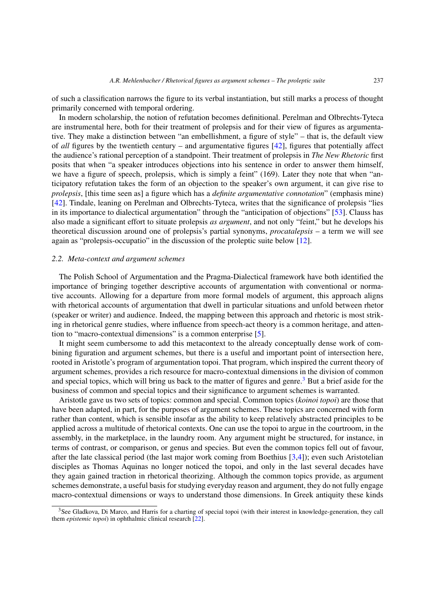of such a classification narrows the figure to its verbal instantiation, but still marks a process of thought primarily concerned with temporal ordering.

In modern scholarship, the notion of refutation becomes definitional. Perelman and Olbrechts-Tyteca are instrumental here, both for their treatment of prolepsis and for their view of figures as argumentative. They make a distinction between "an embellishment, a figure of style" – that is, the default view of *all* figures by the twentieth century – and argumentative figures [\[42](#page-18-11)], figures that potentially affect the audience's rational perception of a standpoint. Their treatment of prolepsis in *The New Rhetoric* first posits that when "a speaker introduces objections into his sentence in order to answer them himself, we have a figure of speech, prolepsis, which is simply a feint" (169). Later they note that when "anticipatory refutation takes the form of an objection to the speaker's own argument, it can give rise to *prolepsis*, [this time seen as] a figure which has a *definite argumentative connotation*" (emphasis mine) [\[42](#page-18-11)]. Tindale, leaning on Perelman and Olbrechts-Tyteca, writes that the significance of prolepsis "lies in its importance to dialectical argumentation" through the "anticipation of objections" [\[53\]](#page-18-7). Clauss has also made a significant effort to situate prolepsis *as argument*, and not only "feint," but he develops his theoretical discussion around one of prolepsis's partial synonyms, *procatalepsis* – a term we will see again as "prolepsis-occupatio" in the discussion of the proleptic suite below [\[12](#page-17-10)].

### *2.2. Meta-context and argument schemes*

The Polish School of Argumentation and the Pragma-Dialectical framework have both identified the importance of bringing together descriptive accounts of argumentation with conventional or normative accounts. Allowing for a departure from more formal models of argument, this approach aligns with rhetorical accounts of argumentation that dwell in particular situations and unfold between rhetor (speaker or writer) and audience. Indeed, the mapping between this approach and rhetoric is most striking in rhetorical genre studies, where influence from speech-act theory is a common heritage, and attention to "macro-contextual dimensions" is a common enterprise [\[5](#page-17-11)].

It might seem cumbersome to add this metacontext to the already conceptually dense work of combining figuration and argument schemes, but there is a useful and important point of intersection here, rooted in Aristotle's program of argumentation topoi. That program, which inspired the current theory of argument schemes, provides a rich resource for macro-contextual dimensions in the division of common and special topics, which will bring us back to the matter of figures and genre.<sup>3</sup> But a brief aside for the business of common and special topics and their significance to argument schemes is warranted.

Aristotle gave us two sets of topics: common and special. Common topics (*koinoi topoi*) are those that have been adapted, in part, for the purposes of argument schemes. These topics are concerned with form rather than content, which is sensible insofar as the ability to keep relatively abstracted principles to be applied across a multitude of rhetorical contexts. One can use the topoi to argue in the courtroom, in the assembly, in the marketplace, in the laundry room. Any argument might be structured, for instance, in terms of contrast, or comparison, or genus and species. But even the common topics fell out of favour, after the late classical period (the last major work coming from Boethius [\[3](#page-17-12)[,4\]](#page-17-13)); even such Aristotelian disciples as Thomas Aquinas no longer noticed the topoi, and only in the last several decades have they again gained traction in rhetorical theorizing. Although the common topics provide, as argument schemes demonstrate, a useful basis for studying everyday reason and argument, they do not fully engage macro-contextual dimensions or ways to understand those dimensions. In Greek antiquity these kinds

<span id="page-4-0"></span><sup>&</sup>lt;sup>3</sup>See Gladkova, Di Marco, and Harris for a charting of special topoi (with their interest in knowledge-generation, they call them *epistemic topoi*) in ophthalmic clinical research [\[22](#page-17-3)].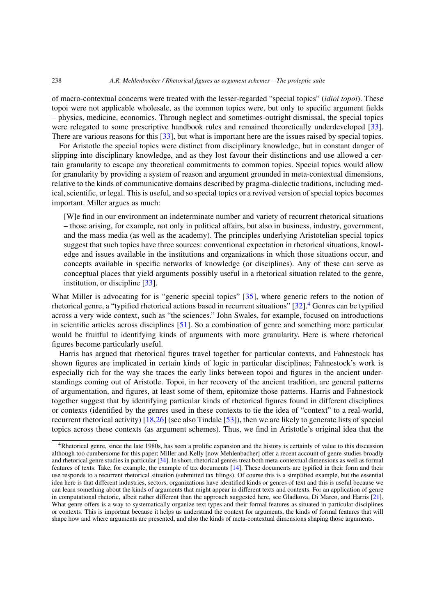of macro-contextual concerns were treated with the lesser-regarded "special topics" (*idioi topoi*). These topoi were not applicable wholesale, as the common topics were, but only to specific argument fields – physics, medicine, economics. Through neglect and sometimes-outright dismissal, the special topics were relegated to some prescriptive handbook rules and remained theoretically underdeveloped [\[33](#page-18-12)]. There are various reasons for this [\[33](#page-18-12)], but what is important here are the issues raised by special topics.

For Aristotle the special topics were distinct from disciplinary knowledge, but in constant danger of slipping into disciplinary knowledge, and as they lost favour their distinctions and use allowed a certain granularity to escape any theoretical commitments to common topics. Special topics would allow for granularity by providing a system of reason and argument grounded in meta-contextual dimensions, relative to the kinds of communicative domains described by pragma-dialectic traditions, including medical, scientific, or legal. This is useful, and so special topics or a revived version of special topics becomes important. Miller argues as much:

[W]e find in our environment an indeterminate number and variety of recurrent rhetorical situations – those arising, for example, not only in political affairs, but also in business, industry, government, and the mass media (as well as the academy). The principles underlying Aristotelian special topics suggest that such topics have three sources: conventional expectation in rhetorical situations, knowledge and issues available in the institutions and organizations in which those situations occur, and concepts available in specific networks of knowledge (or disciplines). Any of these can serve as conceptual places that yield arguments possibly useful in a rhetorical situation related to the genre, institution, or discipline [\[33](#page-18-12)].

What Miller is advocating for is "generic special topics" [\[35\]](#page-18-13), where generic refers to the notion of rhetorical genre, a "typified rhetorical actions based in recurrent situations" [\[32](#page-18-14)][.4](#page-5-0) Genres can be typified across a very wide context, such as "the sciences." John Swales, for example, focused on introductions in scientific articles across disciplines [\[51\]](#page-18-15). So a combination of genre and something more particular would be fruitful to identifying kinds of arguments with more granularity. Here is where rhetorical figures become particularly useful.

Harris has argued that rhetorical figures travel together for particular contexts, and Fahnestock has shown figures are implicated in certain kinds of logic in particular disciplines; Fahnestock's work is especially rich for the way she traces the early links between topoi and figures in the ancient understandings coming out of Aristotle. Topoi, in her recovery of the ancient tradition, are general patterns of argumentation, and figures, at least some of them, epitomize those patterns. Harris and Fahnestock together suggest that by identifying particular kinds of rhetorical figures found in different disciplines or contexts (identified by the genres used in these contexts to tie the idea of "context" to a real-world, recurrent rhetorical activity) [\[18](#page-17-4)[,26](#page-18-2)] (see also Tindale [\[53](#page-18-7)]), then we are likely to generate lists of special topics across these contexts (as argument schemes). Thus, we find in Aristotle's original idea that the

<span id="page-5-0"></span><sup>4</sup>Rhetorical genre, since the late 1980s, has seen a prolific expansion and the history is certainly of value to this discussion although too cumbersome for this paper; Miller and Kelly [now Mehlenbacher] offer a recent account of genre studies broadly and rhetorical genre studies in particular [\[34](#page-18-16)]. In short, rhetorical genres treat both meta-contextual dimensions as well as formal features of texts. Take, for example, the example of tax documents [\[14](#page-17-14)]. These documents are typified in their form and their use responds to a recurrent rhetorical situation (submitted tax filings). Of course this is a simplified example, but the essential idea here is that different industries, sectors, organizations have identified kinds or genres of text and this is useful because we can learn something about the kinds of arguments that might appear in different texts and contexts. For an application of genre in computational rhetoric, albeit rather different than the approach suggested here, see Gladkova, Di Marco, and Harris [\[21](#page-17-2)]. What genre offers is a way to systematically organize text types and their formal features as situated in particular disciplines or contexts. This is important because it helps us understand the context for arguments, the kinds of formal features that will shape how and where arguments are presented, and also the kinds of meta-contextual dimensions shaping those arguments.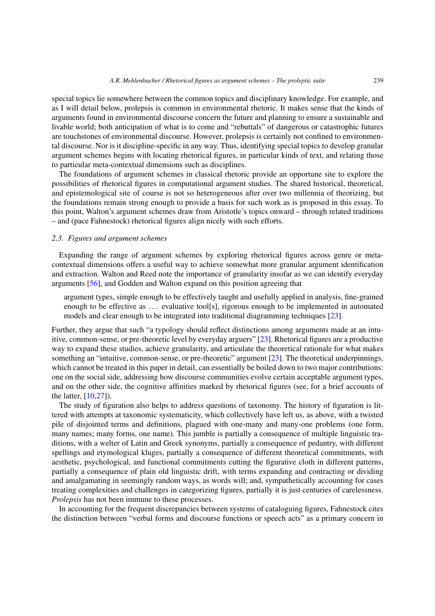special topics lie somewhere between the common topics and disciplinary knowledge. For example, and as I will detail below, prolepsis is common in environmental rhetoric. It makes sense that the kinds of arguments found in environmental discourse concern the future and planning to ensure a sustainable and livable world; both anticipation of what is to come and "rebuttals" of dangerous or catastrophic futures are touchstones of environmental discourse. However, prolepsis is certainly not confined to environmental discourse. Nor is it discipline-specific in any way. Thus, identifying special topics to develop granular argument schemes begins with locating rhetorical figures, in particular kinds of text, and relating those to particular meta-contextual dimensions such as disciplines.

The foundations of argument schemes in classical rhetoric provide an opportune site to explore the possibilities of rhetorical figures in computational argument studies. The shared historical, theoretical, and epistemological site of course is not so heterogeneous after over two millennia of theorizing, but the foundations remain strong enough to provide a basis for such work as is proposed in this essay. To this point, Walton's argument schemes draw from Aristotle's topics onward – through related traditions – and (pace Fahnestock) rhetorical figures align nicely with such efforts.

# *2.3. Figures and argument schemes*

Expanding the range of argument schemes by exploring rhetorical figures across genre or metacontextual dimensions offers a useful way to achieve somewhat more granular argument identification and extraction. Walton and Reed note the importance of granularity insofar as we can identify everyday arguments [\[56\]](#page-19-1), and Godden and Walton expand on this position agreeing that

argument types, simple enough to be effectively taught and usefully applied in analysis, fine-grained enough to be effective as ... evaluative tool[s], rigorous enough to be implemented in automated models and clear enough to be integrated into traditional diagramming techniques [\[23](#page-18-17)].

Further, they argue that such "a typology should reflect distinctions among arguments made at an intuitive, common-sense, or pre-theoretic level by everyday arguers" [\[23\]](#page-18-17). Rhetorical figures are a productive way to expand these studies, achieve granularity, and articulate the theoretical rationale for what makes something an "intuitive, common-sense, or pre-theoretic" argument [\[23\]](#page-18-17). The theoretical underpinnings, which cannot be treated in this paper in detail, can essentially be boiled down to two major contributions: one on the social side, addressing how discourse communities evolve certain acceptable argument types, and on the other side, the cognitive affinities marked by rhetorical figures (see, for a brief accounts of the latter,  $[10, 27]$  $[10, 27]$ ).

The study of figuration also helps to address questions of taxonomy. The history of figuration is littered with attempts at taxonomic systematicity, which collectively have left us, as above, with a twisted pile of disjointed terms and definitions, plagued with one-many and many-one problems (one form, many names; many forms, one name). This jumble is partially a consequence of multiple linguistic traditions, with a welter of Latin and Greek synonyms, partially a consequence of pedantry, with different spellings and etymological kluges, partially a consequence of different theoretical commitments, with aesthetic, psychological, and functional commitments cutting the figurative cloth in different patterns, partially a consequence of plain old linguistic drift, with terms expanding and contracting or dividing and amalgamating in seemingly random ways, as words will; and, sympathetically accounting for cases treating complexities and challenges in categorizing figures, partially it is just centuries of carelessness. *Prolepsis* has not been immune to these processes.

In accounting for the frequent discrepancies between systems of cataloguing figures, Fahnestock cites the distinction between "verbal forms and discourse functions or speech acts" as a primary concern in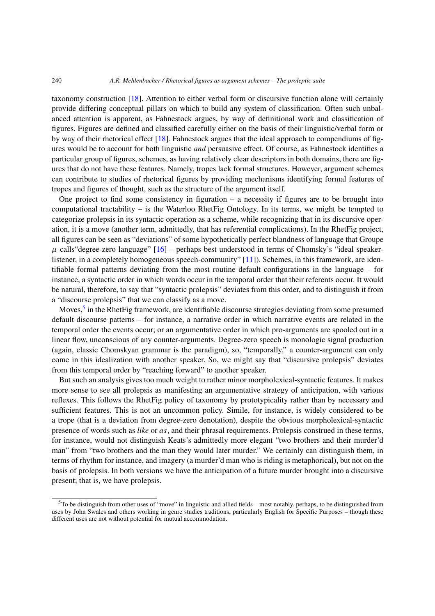taxonomy construction [\[18](#page-17-4)]. Attention to either verbal form or discursive function alone will certainly provide differing conceptual pillars on which to build any system of classification. Often such unbalanced attention is apparent, as Fahnestock argues, by way of definitional work and classification of figures. Figures are defined and classified carefully either on the basis of their linguistic/verbal form or by way of their rhetorical effect [\[18\]](#page-17-4). Fahnestock argues that the ideal approach to compendiums of figures would be to account for both linguistic *and* persuasive effect. Of course, as Fahnestock identifies a particular group of figures, schemes, as having relatively clear descriptors in both domains, there are figures that do not have these features. Namely, tropes lack formal structures. However, argument schemes can contribute to studies of rhetorical figures by providing mechanisms identifying formal features of tropes and figures of thought, such as the structure of the argument itself.

One project to find some consistency in figuration  $-$  a necessity if figures are to be brought into computational tractability – is the Waterloo RhetFig Ontology. In its terms, we might be tempted to categorize prolepsis in its syntactic operation as a scheme, while recognizing that in its discursive operation, it is a move (another term, admittedly, that has referential complications). In the RhetFig project, all figures can be seen as "deviations" of some hypothetically perfect blandness of language that Groupe  $μ$  calls degree-zero language"  $[16]$  – perhaps best understood in terms of Chomsky's "ideal speaker-listener, in a completely homogeneous speech-community" [\[11\]](#page-17-15)). Schemes, in this framework, are identifiable formal patterns deviating from the most routine default configurations in the language – for instance, a syntactic order in which words occur in the temporal order that their referents occur. It would be natural, therefore, to say that "syntactic prolepsis" deviates from this order, and to distinguish it from a "discourse prolepsis" that we can classify as a move.

Moves, $\frac{5}{3}$  in the RhetFig framework, are identifiable discourse strategies deviating from some presumed default discourse patterns – for instance, a narrative order in which narrative events are related in the temporal order the events occur; or an argumentative order in which pro-arguments are spooled out in a linear flow, unconscious of any counter-arguments. Degree-zero speech is monologic signal production (again, classic Chomskyan grammar is the paradigm), so, "temporally," a counter-argument can only come in this idealization with another speaker. So, we might say that "discursive prolepsis" deviates from this temporal order by "reaching forward" to another speaker.

But such an analysis gives too much weight to rather minor morpholexical-syntactic features. It makes more sense to see all prolepsis as manifesting an argumentative strategy of anticipation, with various reflexes. This follows the RhetFig policy of taxonomy by prototypicality rather than by necessary and sufficient features. This is not an uncommon policy. Simile, for instance, is widely considered to be a trope (that is a deviation from degree-zero denotation), despite the obvious morpholexical-syntactic presence of words such as *like* or *as*, and their phrasal requirements. Prolepsis construed in these terms, for instance, would not distinguish Keats's admittedly more elegant "two brothers and their murder'd man" from "two brothers and the man they would later murder." We certainly can distinguish them, in terms of rhythm for instance, and imagery (a murder'd man who is riding is metaphorical), but not on the basis of prolepsis. In both versions we have the anticipation of a future murder brought into a discursive present; that is, we have prolepsis.

<span id="page-7-0"></span> $5T_0$  be distinguish from other uses of "move" in linguistic and allied fields – most notably, perhaps, to be distinguished from uses by John Swales and others working in genre studies traditions, particularly English for Specific Purposes – though these different uses are not without potential for mutual accommodation.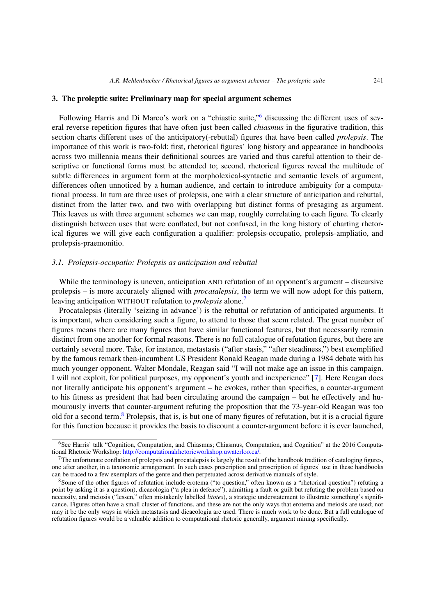#### **3. The proleptic suite: Preliminary map for special argument schemes**

Following Harris and Di Marco's work on a "chiastic suite,"[6](#page-8-0) discussing the different uses of several reverse-repetition figures that have often just been called *chiasmus* in the figurative tradition, this section charts different uses of the anticipatory(-rebuttal) figures that have been called *prolepsis*. The importance of this work is two-fold: first, rhetorical figures' long history and appearance in handbooks across two millennia means their definitional sources are varied and thus careful attention to their descriptive or functional forms must be attended to; second, rhetorical figures reveal the multitude of subtle differences in argument form at the morpholexical-syntactic and semantic levels of argument, differences often unnoticed by a human audience, and certain to introduce ambiguity for a computational process. In turn are three uses of prolepsis, one with a clear structure of anticipation and rebuttal, distinct from the latter two, and two with overlapping but distinct forms of presaging as argument. This leaves us with three argument schemes we can map, roughly correlating to each figure. To clearly distinguish between uses that were conflated, but not confused, in the long history of charting rhetorical figures we will give each configuration a qualifier: prolepsis-occupatio, prolepsis-ampliatio, and prolepsis-praemonitio.

## <span id="page-8-3"></span>*3.1. Prolepsis-occupatio: Prolepsis as anticipation and rebuttal*

While the terminology is uneven, anticipation AND refutation of an opponent's argument – discursive prolepsis – is more accurately aligned with *procatalepsis*, the term we will now adopt for this pattern, leaving anticipation WITHOUT refutation to *prolepsis* alone[.7](#page-8-1)

Procatalepsis (literally 'seizing in advance') is the rebuttal or refutation of anticipated arguments. It is important, when considering such a figure, to attend to those that seem related. The great number of figures means there are many figures that have similar functional features, but that necessarily remain distinct from one another for formal reasons. There is no full catalogue of refutation figures, but there are certainly several more. Take, for instance, metastasis ("after stasis," "after steadiness,") best exemplified by the famous remark then-incumbent US President Ronald Reagan made during a 1984 debate with his much younger opponent, Walter Mondale, Reagan said "I will not make age an issue in this campaign. I will not exploit, for political purposes, my opponent's youth and inexperience" [\[7](#page-17-16)]. Here Reagan does not literally anticipate his opponent's argument – he evokes, rather than specifies, a counter-argument to his fitness as president that had been circulating around the campaign – but he effectively and humourously inverts that counter-argument refuting the proposition that the 73-year-old Reagan was too old for a second term.<sup>8</sup> Prolepsis, that is, is but one of many figures of refutation, but it is a crucial figure for this function because it provides the basis to discount a counter-argument before it is ever launched,

<span id="page-8-0"></span><sup>&</sup>lt;sup>6</sup>See Harris' talk "Cognition, Computation, and Chiasmus; Chiasmus, Computation, and Cognition" at the 2016 Computational Rhetoric Workshop: [http://computationalrhetoricworkshop.uwaterloo.ca/.](http://computationalrhetoricworkshop.uwaterloo.ca/)

<span id="page-8-1"></span> $7$ The unfortunate conflation of prolepsis and procatalepsis is largely the result of the handbook tradition of cataloging figures, one after another, in a taxonomic arrangement. In such cases prescription and proscription of figures' use in these handbooks can be traced to a few exemplars of the genre and then perpetuated across derivative manuals of style.

<span id="page-8-2"></span><sup>8</sup>Some of the other figures of refutation include erotema ("to question," often known as a "rhetorical question") refuting a point by asking it as a question), dicaeologia ("a plea in defence"), admitting a fault or guilt but refuting the problem based on necessity, and meiosis ("lessen," often mistakenly labelled *litotes*), a strategic understatement to illustrate something's significance. Figures often have a small cluster of functions, and these are not the only ways that erotema and meiosis are used; nor may it be the only ways in which metastasis and dicaeologia are used. There is much work to be done. But a full catalogue of refutation figures would be a valuable addition to computational rhetoric generally, argument mining specifically.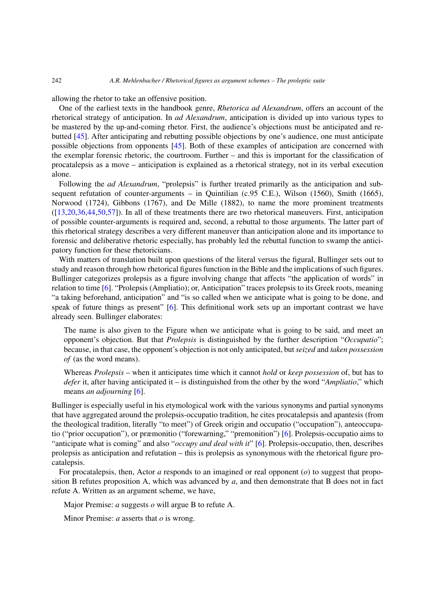allowing the rhetor to take an offensive position.

One of the earliest texts in the handbook genre, *Rhetorica ad Alexandrum*, offers an account of the rhetorical strategy of anticipation. In *ad Alexandrum*, anticipation is divided up into various types to be mastered by the up-and-coming rhetor. First, the audience's objections must be anticipated and rebutted [\[45\]](#page-18-19). After anticipating and rebutting possible objections by one's audience, one must anticipate possible objections from opponents [\[45\]](#page-18-19). Both of these examples of anticipation are concerned with the exemplar forensic rhetoric, the courtroom. Further – and this is important for the classification of procatalepsis as a move – anticipation is explained as a rhetorical strategy, not in its verbal execution alone.

Following the *ad Alexandrum*, "prolepsis" is further treated primarily as the anticipation and subsequent refutation of counter-arguments – in Quintilian (c.95 C.E.), Wilson (1560), Smith (1665), Norwood (1724), Gibbons (1767), and De Mille (1882), to name the more prominent treatments  $(13,20,36,44,50,57)$  $(13,20,36,44,50,57)$  $(13,20,36,44,50,57)$  $(13,20,36,44,50,57)$  $(13,20,36,44,50,57)$  $(13,20,36,44,50,57)$  $(13,20,36,44,50,57)$ ). In all of these treatments there are two rhetorical maneuvers. First, anticipation of possible counter-arguments is required and, second, a rebuttal to those arguments. The latter part of this rhetorical strategy describes a very different maneuver than anticipation alone and its importance to forensic and deliberative rhetoric especially, has probably led the rebuttal function to swamp the anticipatory function for these rhetoricians.

With matters of translation built upon questions of the literal versus the figural, Bullinger sets out to study and reason through how rhetorical figures function in the Bible and the implications of such figures. Bullinger categorizes prolepsis as a figure involving change that affects "the application of words" in relation to time [\[6](#page-17-19)]. "Prolepsis (Ampliatio); or, Anticipation" traces prolepsis to its Greek roots, meaning "a taking beforehand, anticipation" and "is so called when we anticipate what is going to be done, and speak of future things as present" [\[6](#page-17-19)]. This definitional work sets up an important contrast we have already seen. Bullinger elaborates:

The name is also given to the Figure when we anticipate what is going to be said, and meet an opponent's objection. But that *Prolepsis* is distinguished by the further description "*Occupatio*"; because, in that case, the opponent's objection is not only anticipated, but*seized* and *taken possession of* (as the word means).

Whereas *Prolepsis* – when it anticipates time which it cannot *hold* or *keep possession* of, but has to *defer* it, after having anticipated it – is distinguished from the other by the word "*Ampliatio*," which means *an adjourning* [\[6](#page-17-19)].

Bullinger is especially useful in his etymological work with the various synonyms and partial synonyms that have aggregated around the prolepsis-occupatio tradition, he cites procatalepsis and apantesis (from the theological tradition, literally "to meet") of Greek origin and occupatio ("occupation"), anteoccupatio ("prior occupation"), or præmonitio ("forewarning," "premonition") [\[6](#page-17-19)]. Prolepsis-occupatio aims to "anticipate what is coming" and also "*occupy and deal with it*" [\[6](#page-17-19)]. Prolepsis-occupatio, then, describes prolepsis as anticipation and refutation – this is prolepsis as synonymous with the rhetorical figure procatalepsis.

For procatalepsis, then, Actor *a* responds to an imagined or real opponent (*o*) to suggest that proposition B refutes proposition A, which was advanced by *a*, and then demonstrate that B does not in fact refute A. Written as an argument scheme, we have,

Major Premise: *a* suggests *o* will argue B to refute A.

Minor Premise: *a* asserts that *o* is wrong.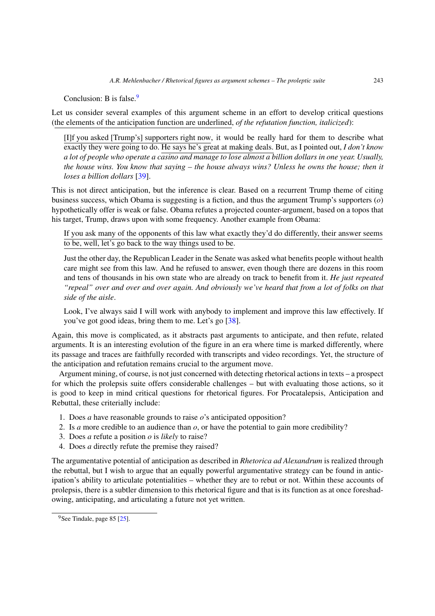Conclusion: B is false. $9$ 

Let us consider several examples of this argument scheme in an effort to develop critical questions (the elements of the anticipation function are underlined, *of the refutation function, italicized*):

[I]f you asked [Trump's] supporters right now, it would be really hard for them to describe what exactly they were going to do. He says he's great at making deals. But, as I pointed out, *I don't know a lot of people who operate a casino and manage to lose almost a billion dollars in one year. Usually, the house wins. You know that saying – the house always wins? Unless he owns the house; then it loses a billion dollars* [\[39\]](#page-18-23).

This is not direct anticipation, but the inference is clear. Based on a recurrent Trump theme of citing business success, which Obama is suggesting is a fiction, and thus the argument Trump's supporters (*o*) hypothetically offer is weak or false. Obama refutes a projected counter-argument, based on a topos that his target, Trump, draws upon with some frequency. Another example from Obama:

If you ask many of the opponents of this law what exactly they'd do differently, their answer seems to be, well, let's go back to the way things used to be.

Just the other day, the Republican Leader in the Senate was asked what benefits people without health care might see from this law. And he refused to answer, even though there are dozens in this room and tens of thousands in his own state who are already on track to benefit from it. *He just repeated "repeal" over and over and over again. And obviously we've heard that from a lot of folks on that side of the aisle*.

Look, I've always said I will work with anybody to implement and improve this law effectively. If you've got good ideas, bring them to me. Let's go [\[38\]](#page-18-24).

Again, this move is complicated, as it abstracts past arguments to anticipate, and then refute, related arguments. It is an interesting evolution of the figure in an era where time is marked differently, where its passage and traces are faithfully recorded with transcripts and video recordings. Yet, the structure of the anticipation and refutation remains crucial to the argument move.

Argument mining, of course, is not just concerned with detecting rhetorical actions in texts – a prospect for which the prolepsis suite offers considerable challenges – but with evaluating those actions, so it is good to keep in mind critical questions for rhetorical figures. For Procatalepsis, Anticipation and Rebuttal, these criterially include:

- 1. Does *a* have reasonable grounds to raise *o*'s anticipated opposition?
- 2. Is *a* more credible to an audience than *o*, or have the potential to gain more credibility?
- 3. Does *a* refute a position *o* is *likely* to raise?
- 4. Does *a* directly refute the premise they raised?

The argumentative potential of anticipation as described in *Rhetorica ad Alexandrum* is realized through the rebuttal, but I wish to argue that an equally powerful argumentative strategy can be found in anticipation's ability to articulate potentialities – whether they are to rebut or not. Within these accounts of prolepsis, there is a subtler dimension to this rhetorical figure and that is its function as at once foreshadowing, anticipating, and articulating a future not yet written.

<span id="page-10-0"></span><sup>&</sup>lt;sup>9</sup>See Tindale, page 85 [\[25\]](#page-18-5).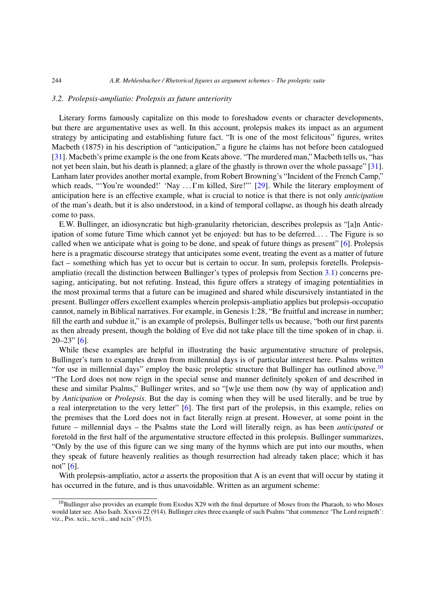#### *3.2. Prolepsis-ampliatio: Prolepsis as future anteriority*

Literary forms famously capitalize on this mode to foreshadow events or character developments, but there are argumentative uses as well. In this account, prolepsis makes its impact as an argument strategy by anticipating and establishing future fact. "It is one of the most felicitous" figures, writes Macbeth (1875) in his description of "anticipation," a figure he claims has not before been catalogued [\[31](#page-18-25)]. Macbeth's prime example is the one from Keats above. "The murdered man," Macbeth tells us, "has not yet been slain, but his death is planned; a glare of the ghastly is thrown over the whole passage" [\[31](#page-18-25)]. Lanham later provides another mortal example, from Robert Browning's "Incident of the French Camp," which reads, "'You're wounded!' 'Nay ... I'm killed, Sire!'" [\[29\]](#page-18-26). While the literary employment of anticipation here is an effective example, what is crucial to notice is that there is not only *anticipation* of the man's death, but it is also understood, in a kind of temporal collapse, as though his death already come to pass.

E.W. Bullinger, an idiosyncratic but high-granularity rhetorician, describes prolepsis as "[a]n Anticipation of some future Time which cannot yet be enjoyed: but has to be deferred. . . . The Figure is so called when we anticipate what is going to be done, and speak of future things as present" [\[6](#page-17-19)]. Prolepsis here is a pragmatic discourse strategy that anticipates some event, treating the event as a matter of future fact – something which has yet to occur but is certain to occur. In sum, prolepsis foretells. Prolepsisampliatio (recall the distinction between Bullinger's types of prolepsis from Section [3.1\)](#page-8-3) concerns presaging, anticipating, but not refuting. Instead, this figure offers a strategy of imaging potentialities in the most proximal terms that a future can be imagined and shared while discursively instantiated in the present. Bullinger offers excellent examples wherein prolepsis-ampliatio applies but prolepsis-occupatio cannot, namely in Biblical narratives. For example, in Genesis 1:28, "Be fruitful and increase in number; fill the earth and subdue it," is an example of prolepsis, Bullinger tells us because, "both our first parents as then already present, though the bolding of Eve did not take place till the time spoken of in chap. ii.  $20-23$ " [\[6](#page-17-19)].

While these examples are helpful in illustrating the basic argumentative structure of prolepsis, Bullinger's turn to examples drawn from millennial days is of particular interest here. Psalms written "for use in millennial days" employ the basic proleptic structure that Bullinger has outlined above.<sup>10</sup> "The Lord does not now reign in the special sense and manner definitely spoken of and described in these and similar Psalms," Bullinger writes, and so "[w]e use them now (by way of application and) by *Anticipation* or *Prolepsis*. But the day is coming when they will be used literally, and be true by a real interpretation to the very letter" [\[6\]](#page-17-19). The first part of the prolepsis, in this example, relies on the premises that the Lord does not in fact literally reign at present. However, at some point in the future – millennial days – the Psalms state the Lord will literally reign, as has been *anticipated* or foretold in the first half of the argumentative structure effected in this prolepsis. Bullinger summarizes, "Only by the use of this figure can we sing many of the hymns which are put into our mouths, when they speak of future heavenly realities as though resurrection had already taken place; which it has not" [\[6\]](#page-17-19).

With prolepsis-ampliatio, actor *a* asserts the proposition that A is an event that will occur by stating it has occurred in the future, and is thus unavoidable. Written as an argument scheme:

<span id="page-11-0"></span> $10$ Bullinger also provides an example from Exodus X29 with the final departure of Moses from the Pharaoh, to who Moses would later see. Also Isaih. Xxxvii 22 (914). Bullinger cites three example of such Psalms "that commence 'The Lord reigneth': viz., Pss. xcii., xcvii., and xcix" (915).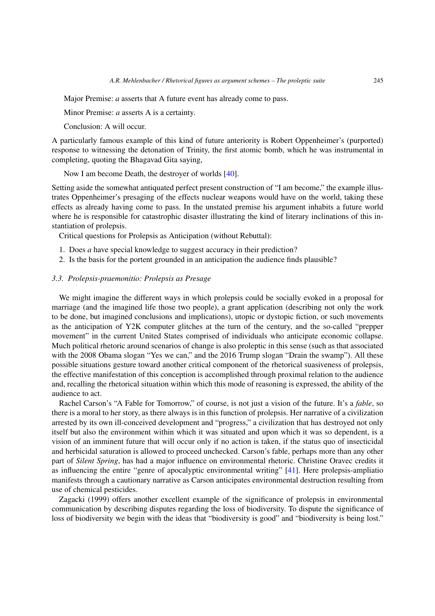Major Premise: *a* asserts that A future event has already come to pass.

Minor Premise: *a* asserts A is a certainty.

Conclusion: A will occur.

A particularly famous example of this kind of future anteriority is Robert Oppenheimer's (purported) response to witnessing the detonation of Trinity, the first atomic bomb, which he was instrumental in completing, quoting the Bhagavad Gita saying,

Now I am become Death, the destrover of worlds [\[40\]](#page-18-27).

Setting aside the somewhat antiquated perfect present construction of "I am become," the example illustrates Oppenheimer's presaging of the effects nuclear weapons would have on the world, taking these effects as already having come to pass. In the unstated premise his argument inhabits a future world where he is responsible for catastrophic disaster illustrating the kind of literary inclinations of this instantiation of prolepsis.

Critical questions for Prolepsis as Anticipation (without Rebuttal):

- 1. Does *a* have special knowledge to suggest accuracy in their prediction?
- 2. Is the basis for the portent grounded in an anticipation the audience finds plausible?

# *3.3. Prolepsis-praemonitio: Prolepsis as Presage*

We might imagine the different ways in which prolepsis could be socially evoked in a proposal for marriage (and the imagined life those two people), a grant application (describing not only the work to be done, but imagined conclusions and implications), utopic or dystopic fiction, or such movements as the anticipation of Y2K computer glitches at the turn of the century, and the so-called "prepper movement" in the current United States comprised of individuals who anticipate economic collapse. Much political rhetoric around scenarios of change is also proleptic in this sense (such as that associated with the 2008 Obama slogan "Yes we can," and the 2016 Trump slogan "Drain the swamp"). All these possible situations gesture toward another critical component of the rhetorical suasiveness of prolepsis, the effective manifestation of this conception is accomplished through proximal relation to the audience and, recalling the rhetorical situation within which this mode of reasoning is expressed, the ability of the audience to act.

Rachel Carson's "A Fable for Tomorrow," of course, is not just a vision of the future. It's a *fable*, so there is a moral to her story, as there always is in this function of prolepsis. Her narrative of a civilization arrested by its own ill-conceived development and "progress," a civilization that has destroyed not only itself but also the environment within which it was situated and upon which it was so dependent, is a vision of an imminent future that will occur only if no action is taken, if the status quo of insecticidal and herbicidal saturation is allowed to proceed unchecked. Carson's fable, perhaps more than any other part of *Silent Spring*, has had a major influence on environmental rhetoric. Christine Oravec credits it as influencing the entire "genre of apocalyptic environmental writing" [\[41\]](#page-18-28). Here prolepsis-ampliatio manifests through a cautionary narrative as Carson anticipates environmental destruction resulting from use of chemical pesticides.

Zagacki (1999) offers another excellent example of the significance of prolepsis in environmental communication by describing disputes regarding the loss of biodiversity. To dispute the significance of loss of biodiversity we begin with the ideas that "biodiversity is good" and "biodiversity is being lost."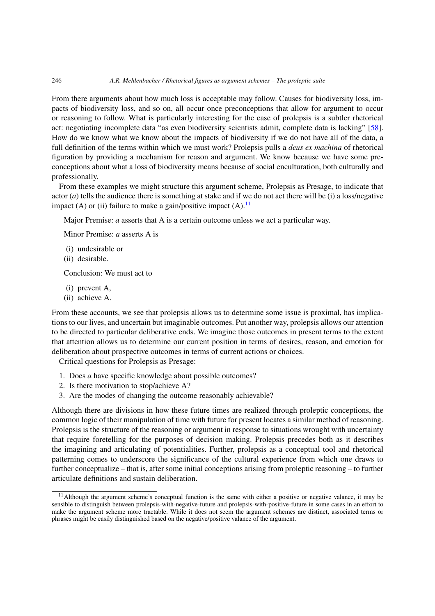From there arguments about how much loss is acceptable may follow. Causes for biodiversity loss, impacts of biodiversity loss, and so on, all occur once preconceptions that allow for argument to occur or reasoning to follow. What is particularly interesting for the case of prolepsis is a subtler rhetorical act: negotiating incomplete data "as even biodiversity scientists admit, complete data is lacking" [\[58](#page-19-3)]. How do we know what we know about the impacts of biodiversity if we do not have all of the data, a full definition of the terms within which we must work? Prolepsis pulls a *deus ex machina* of rhetorical figuration by providing a mechanism for reason and argument. We know because we have some preconceptions about what a loss of biodiversity means because of social enculturation, both culturally and professionally.

From these examples we might structure this argument scheme, Prolepsis as Presage, to indicate that actor (*a*) tells the audience there is something at stake and if we do not act there will be (i) a loss/negative impact (A) or (ii) failure to make a gain/positive impact  $(A)$ .<sup>11</sup>

Major Premise: *a* asserts that A is a certain outcome unless we act a particular way.

Minor Premise: *a* asserts A is

- (i) undesirable or
- (ii) desirable.

Conclusion: We must act to

- (i) prevent A,
- (ii) achieve A.

From these accounts, we see that prolepsis allows us to determine some issue is proximal, has implications to our lives, and uncertain but imaginable outcomes. Put another way, prolepsis allows our attention to be directed to particular deliberative ends. We imagine those outcomes in present terms to the extent that attention allows us to determine our current position in terms of desires, reason, and emotion for deliberation about prospective outcomes in terms of current actions or choices.

Critical questions for Prolepsis as Presage:

- 1. Does *a* have specific knowledge about possible outcomes?
- 2. Is there motivation to stop/achieve A?
- 3. Are the modes of changing the outcome reasonably achievable?

Although there are divisions in how these future times are realized through proleptic conceptions, the common logic of their manipulation of time with future for present locates a similar method of reasoning. Prolepsis is the structure of the reasoning or argument in response to situations wrought with uncertainty that require foretelling for the purposes of decision making. Prolepsis precedes both as it describes the imagining and articulating of potentialities. Further, prolepsis as a conceptual tool and rhetorical patterning comes to underscore the significance of the cultural experience from which one draws to further conceptualize – that is, after some initial conceptions arising from proleptic reasoning – to further articulate definitions and sustain deliberation.

<span id="page-13-0"></span><sup>&</sup>lt;sup>11</sup>Although the argument scheme's conceptual function is the same with either a positive or negative valance, it may be sensible to distinguish between prolepsis-with-negative-future and prolepsis-with-positive-future in some cases in an effort to make the argument scheme more tractable. While it does not seem the argument schemes are distinct, associated terms or phrases might be easily distinguished based on the negative/positive valance of the argument.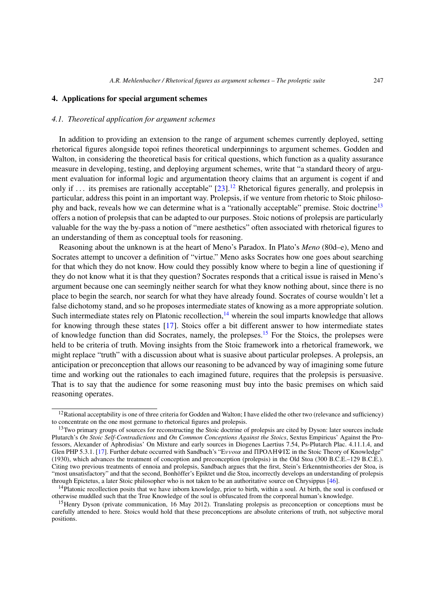#### **4. Applications for special argument schemes**

#### *4.1. Theoretical application for argument schemes*

In addition to providing an extension to the range of argument schemes currently deployed, setting rhetorical figures alongside topoi refines theoretical underpinnings to argument schemes. Godden and Walton, in considering the theoretical basis for critical questions, which function as a quality assurance measure in developing, testing, and deploying argument schemes, write that "a standard theory of argument evaluation for informal logic and argumentation theory claims that an argument is cogent if and only if  $\ldots$  its premises are rationally acceptable"  $[23]$  $[23]$ .<sup>12</sup> Rhetorical figures generally, and prolepsis in particular, address this point in an important way. Prolepsis, if we venture from rhetoric to Stoic philoso-phy and back, reveals how we can determine what is a "rationally acceptable" premise. Stoic doctrine<sup>[13](#page-14-1)</sup> offers a notion of prolepsis that can be adapted to our purposes. Stoic notions of prolepsis are particularly valuable for the way the by-pass a notion of "mere aesthetics" often associated with rhetorical figures to an understanding of them as conceptual tools for reasoning.

Reasoning about the unknown is at the heart of Meno's Paradox. In Plato's *Meno* (80d–e), Meno and Socrates attempt to uncover a definition of "virtue." Meno asks Socrates how one goes about searching for that which they do not know. How could they possibly know where to begin a line of questioning if they do not know what it is that they question? Socrates responds that a critical issue is raised in Meno's argument because one can seemingly neither search for what they know nothing about, since there is no place to begin the search, nor search for what they have already found. Socrates of course wouldn't let a false dichotomy stand, and so he proposes intermediate states of knowing as a more appropriate solution. Such intermediate states rely on Platonic recollection, $14$  wherein the soul imparts knowledge that allows for knowing through these states [\[17\]](#page-17-20). Stoics offer a bit different answer to how intermediate states of knowledge function than did Socrates, namely, the prolepses[.15](#page-14-3) For the Stoics, the prolepses were held to be criteria of truth. Moving insights from the Stoic framework into a rhetorical framework, we might replace "truth" with a discussion about what is suasive about particular prolepses. A prolepsis, an anticipation or preconception that allows our reasoning to be advanced by way of imagining some future time and working out the rationales to each imagined future, requires that the prolepsis is persuasive. That is to say that the audience for some reasoning must buy into the basic premises on which said reasoning operates.

<span id="page-14-0"></span> $12$ Rational acceptability is one of three criteria for Godden and Walton; I have elided the other two (relevance and sufficiency) to concentrate on the one most germane to rhetorical figures and prolepsis.

<span id="page-14-1"></span><sup>&</sup>lt;sup>13</sup>Two primary groups of sources for reconstructing the Stoic doctrine of prolepsis are cited by Dyson: later sources include Plutarch's *On Stoic Self-Contradictions* and *On Common Conceptions Against the Stoics*, Sextus Empiricus' Against the Professors, Alexander of Aphrodisias' On Mixture and early sources in Diogenes Laertius 7.54, Ps-Plutarch Plac. 4.11.1.4, and Glen PHP 5.3.1. [\[17\]](#page-17-20). Further debate occurred with Sandbach's "Ενν*οια* and ΠΡΟΛΗΨΙΣ in the Stoic Theory of Knowledge" (1930), which advances the treatment of conception and preconception (prolepsis) in the Old Stoa (300 B.C.E.–129 B.C.E.). Citing two previous treatments of ennoia and prolepsis, Sandbach argues that the first, Stein's Erkenntnistheories der Stoa, is "most unsatisfactory" and that the second, Bonhöffer's Epiktet und die Stoa, incorrectly develops an understanding of prolepsis through Epictetus, a later Stoic philosopher who is not taken to be an authoritative source on Chrysippus [\[46](#page-18-29)].

<span id="page-14-2"></span><sup>&</sup>lt;sup>14</sup>Platonic recollection posits that we have inborn knowledge, prior to birth, within a soul. At birth, the soul is confused or otherwise muddled such that the True Knowledge of the soul is obfuscated from the corporeal human's knowledge.

<span id="page-14-3"></span><sup>&</sup>lt;sup>15</sup>Henry Dyson (private communication, 16 May 2012). Translating prolepsis as preconception or conceptions must be carefully attended to here. Stoics would hold that these preconceptions are absolute criterions of truth, not subjective moral positions.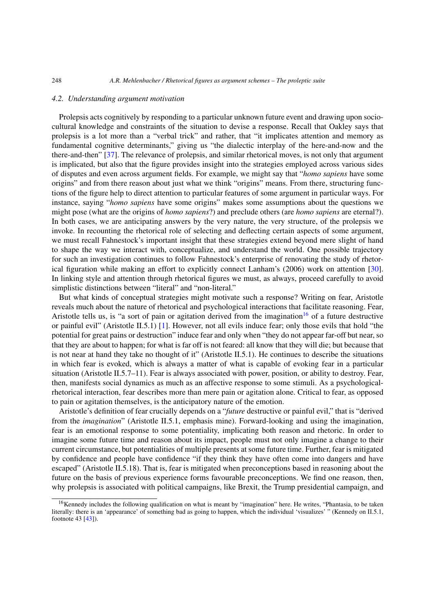#### *4.2. Understanding argument motivation*

Prolepsis acts cognitively by responding to a particular unknown future event and drawing upon sociocultural knowledge and constraints of the situation to devise a response. Recall that Oakley says that prolepsis is a lot more than a "verbal trick" and rather, that "it implicates attention and memory as fundamental cognitive determinants," giving us "the dialectic interplay of the here-and-now and the there-and-then" [\[37\]](#page-18-3). The relevance of prolepsis, and similar rhetorical moves, is not only that argument is implicated, but also that the figure provides insight into the strategies employed across various sides of disputes and even across argument fields. For example, we might say that "*homo sapiens* have some origins" and from there reason about just what we think "origins" means. From there, structuring functions of the figure help to direct attention to particular features of some argument in particular ways. For instance, saying "*homo sapiens* have some origins" makes some assumptions about the questions we might pose (what are the origins of *homo sapiens*?) and preclude others (are *homo sapiens* are eternal?). In both cases, we are anticipating answers by the very nature, the very structure, of the prolepsis we invoke. In recounting the rhetorical role of selecting and deflecting certain aspects of some argument, we must recall Fahnestock's important insight that these strategies extend beyond mere slight of hand to shape the way we interact with, conceptualize, and understand the world. One possible trajectory for such an investigation continues to follow Fahnestock's enterprise of renovating the study of rhetorical figuration while making an effort to explicitly connect Lanham's (2006) work on attention [\[30](#page-18-30)]. In linking style and attention through rhetorical figures we must, as always, proceed carefully to avoid simplistic distinctions between "literal" and "non-literal."

But what kinds of conceptual strategies might motivate such a response? Writing on fear, Aristotle reveals much about the nature of rhetorical and psychological interactions that facilitate reasoning. Fear, Aristotle tells us, is "a sort of pain or agitation derived from the imagination<sup>16</sup> of a future destructive or painful evil" (Aristotle II.5.1) [\[1](#page-17-21)]. However, not all evils induce fear; only those evils that hold "the potential for great pains or destruction" induce fear and only when "they do not appear far-off but near, so that they are about to happen; for what is far off is not feared: all know that they will die; but because that is not near at hand they take no thought of it" (Aristotle II.5.1). He continues to describe the situations in which fear is evoked, which is always a matter of what is capable of evoking fear in a particular situation (Aristotle II.5.7–11). Fear is always associated with power, position, or ability to destroy. Fear, then, manifests social dynamics as much as an affective response to some stimuli. As a psychologicalrhetorical interaction, fear describes more than mere pain or agitation alone. Critical to fear, as opposed to pain or agitation themselves, is the anticipatory nature of the emotion.

Aristotle's definition of fear crucially depends on a "*future* destructive or painful evil," that is "derived from the *imagination*" (Aristotle II.5.1, emphasis mine). Forward-looking and using the imagination, fear is an emotional response to some potentiality, implicating both reason and rhetoric. In order to imagine some future time and reason about its impact, people must not only imagine a change to their current circumstance, but potentialities of multiple presents at some future time. Further, fear is mitigated by confidence and people have confidence "if they think they have often come into dangers and have escaped" (Aristotle II.5.18). That is, fear is mitigated when preconceptions based in reasoning about the future on the basis of previous experience forms favourable preconceptions. We find one reason, then, why prolepsis is associated with political campaigns, like Brexit, the Trump presidential campaign, and

<span id="page-15-0"></span><sup>&</sup>lt;sup>16</sup>Kennedy includes the following qualification on what is meant by "imagination" here. He writes, "Phantasia, to be taken literally: there is an 'appearance' of something bad as going to happen, which the individual 'visualizes' " (Kennedy on II.5.1, footnote 43 [\[43](#page-18-31)]).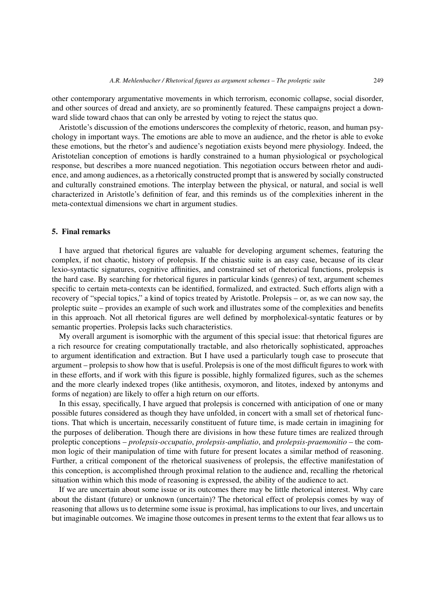other contemporary argumentative movements in which terrorism, economic collapse, social disorder, and other sources of dread and anxiety, are so prominently featured. These campaigns project a downward slide toward chaos that can only be arrested by voting to reject the status quo.

Aristotle's discussion of the emotions underscores the complexity of rhetoric, reason, and human psychology in important ways. The emotions are able to move an audience, and the rhetor is able to evoke these emotions, but the rhetor's and audience's negotiation exists beyond mere physiology. Indeed, the Aristotelian conception of emotions is hardly constrained to a human physiological or psychological response, but describes a more nuanced negotiation. This negotiation occurs between rhetor and audience, and among audiences, as a rhetorically constructed prompt that is answered by socially constructed and culturally constrained emotions. The interplay between the physical, or natural, and social is well characterized in Aristotle's definition of fear, and this reminds us of the complexities inherent in the meta-contextual dimensions we chart in argument studies.

# **5. Final remarks**

I have argued that rhetorical figures are valuable for developing argument schemes, featuring the complex, if not chaotic, history of prolepsis. If the chiastic suite is an easy case, because of its clear lexio-syntactic signatures, cognitive affinities, and constrained set of rhetorical functions, prolepsis is the hard case. By searching for rhetorical figures in particular kinds (genres) of text, argument schemes specific to certain meta-contexts can be identified, formalized, and extracted. Such efforts align with a recovery of "special topics," a kind of topics treated by Aristotle. Prolepsis – or, as we can now say, the proleptic suite – provides an example of such work and illustrates some of the complexities and benefits in this approach. Not all rhetorical figures are well defined by morpholexical-syntatic features or by semantic properties. Prolepsis lacks such characteristics.

My overall argument is isomorphic with the argument of this special issue: that rhetorical figures are a rich resource for creating computationally tractable, and also rhetorically sophisticated, approaches to argument identification and extraction. But I have used a particularly tough case to prosecute that argument – prolepsis to show how that is useful. Prolepsis is one of the most difficult figures to work with in these efforts, and if work with this figure is possible, highly formalized figures, such as the schemes and the more clearly indexed tropes (like antithesis, oxymoron, and litotes, indexed by antonyms and forms of negation) are likely to offer a high return on our efforts.

In this essay, specifically, I have argued that prolepsis is concerned with anticipation of one or many possible futures considered as though they have unfolded, in concert with a small set of rhetorical functions. That which is uncertain, necessarily constituent of future time, is made certain in imagining for the purposes of deliberation. Though there are divisions in how these future times are realized through proleptic conceptions – *prolepsis-occupatio*, *prolepsis-ampliatio*, and *prolepsis-praemonitio* – the common logic of their manipulation of time with future for present locates a similar method of reasoning. Further, a critical component of the rhetorical suasiveness of prolepsis, the effective manifestation of this conception, is accomplished through proximal relation to the audience and, recalling the rhetorical situation within which this mode of reasoning is expressed, the ability of the audience to act.

If we are uncertain about some issue or its outcomes there may be little rhetorical interest. Why care about the distant (future) or unknown (uncertain)? The rhetorical effect of prolepsis comes by way of reasoning that allows us to determine some issue is proximal, has implications to our lives, and uncertain but imaginable outcomes. We imagine those outcomes in present terms to the extent that fear allows us to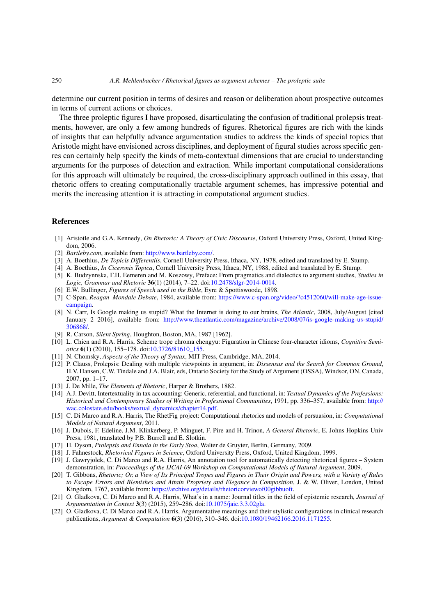determine our current position in terms of desires and reason or deliberation about prospective outcomes in terms of current actions or choices.

The three proleptic figures I have proposed, disarticulating the confusion of traditional prolepsis treatments, however, are only a few among hundreds of figures. Rhetorical figures are rich with the kinds of insights that can helpfully advance argumentation studies to address the kinds of special topics that Aristotle might have envisioned across disciplines, and deployment of figural studies across specific genres can certainly help specify the kinds of meta-contextual dimensions that are crucial to understanding arguments for the purposes of detection and extraction. While important computational considerations for this approach will ultimately be required, the cross-disciplinary approach outlined in this essay, that rhetoric offers to creating computationally tractable argument schemes, has impressive potential and merits the increasing attention it is attracting in computational argument studies.

#### **References**

- <span id="page-17-21"></span>[1] Aristotle and G.A. Kennedy, *On Rhetoric: A Theory of Civic Discourse*, Oxford University Press, Oxford, United Kingdom, 2006.
- <span id="page-17-8"></span>[2] *Bartleby.com*, available from: [http://www.bartleby.com/.](http://www.bartleby.com/)
- <span id="page-17-12"></span>[3] A. Boethius, *De Topicis Differentiis*, Cornell University Press, Ithaca, NY, 1978, edited and translated by E. Stump.
- <span id="page-17-13"></span>[4] A. Boethius, *In Ciceronis Topica*, Cornell University Press, Ithaca, NY, 1988, edited and translated by E. Stump.
- <span id="page-17-11"></span>[5] K. Budzynnska, F.H. Eemeren and M. Koszowy, Preface: From pragmatics and dialectics to argument studies, *Studies in Logic, Grammar and Rhetoric* **36**(1) (2014), 7–22. doi[:10.2478/slgr-2014-0014.](http://dx.doi.org/10.2478/slgr-2014-0014)
- <span id="page-17-19"></span>[6] E.W. Bullinger, *Figures of Speech used in the Bible*, Eyre & Spottiswoode, 1898.
- <span id="page-17-16"></span>[7] C-Span, *Reagan–Mondale Debate*, 1984, available from: [https://www.c-span.org/video/?c4512060/will-make-age-issue](https://www.c-span.org/video/?c4512060/will-make-age-issue-campaign)[campaign.](https://www.c-span.org/video/?c4512060/will-make-age-issue-campaign)
- <span id="page-17-9"></span>[8] N. Carr, Is Google making us stupid? What the Internet is doing to our brains, *The Atlantic*, 2008, July/August [cited January 2 2016], available from: [http://www.theatlantic.com/magazine/archive/2008/07/is-google-making-us-stupid/](http://www.theatlantic.com/magazine/archive/2008/07/is-google-making-us-stupid/306868/) [306868/.](http://www.theatlantic.com/magazine/archive/2008/07/is-google-making-us-stupid/306868/)
- <span id="page-17-7"></span>[9] R. Carson, *Silent Spring*, Houghton, Boston, MA, 1987 [1962].
- <span id="page-17-6"></span>[10] L. Chien and R.A. Harris, Scheme trope chroma chengyu: Figuration in Chinese four-character idioms, *Cognitive Semiotics* **6**(1) (2010), 155–178. doi[:10.3726/81610\\_155.](http://dx.doi.org/10.3726/81610_155)
- <span id="page-17-15"></span>[11] N. Chomsky, *Aspects of the Theory of Syntax*, MIT Press, Cambridge, MA, 2014.
- <span id="page-17-10"></span>[12] P. Clauss, Prolepsis: Dealing with multiple viewpoints in argument, in: *Dissensus and the Search for Common Ground*, H.V. Hansen, C.W. Tindale and J.A. Blair, eds, Ontario Society for the Study of Argument (OSSA), Windsor, ON, Canada, 2007, pp. 1–17.
- <span id="page-17-17"></span>[13] J. De Mille, *The Elements of Rhetoric*, Harper & Brothers, 1882.
- <span id="page-17-14"></span>[14] A.J. Devitt, Intertextuality in tax accounting: Generic, referential, and functional, in: *Textual Dynamics of the Professions: Historical and Contemporary Studies of Writing in Professional Communities*, 1991, pp. 336–357, available from: [http://](http://wac.colostate.edu/books/textual_dynamics/chapter14.pdf) [wac.colostate.edu/books/textual\\_dynamics/chapter14.pdf.](http://wac.colostate.edu/books/textual_dynamics/chapter14.pdf)
- <span id="page-17-0"></span>[15] C. Di Marco and R.A. Harris, The RhetFig project: Computational rhetorics and models of persuasion, in: *Computational Models of Natural Argument*, 2011.
- <span id="page-17-5"></span>[16] J. Dubois, F. Edeline, J.M. Klinkerberg, P. Minguet, F. Pire and H. Trinon, *A General Rhetoric*, E. Johns Hopkins Univ Press, 1981, translated by P.B. Burrell and E. Slotkin.
- <span id="page-17-20"></span>[17] H. Dyson, *Prolepsis and Ennoia in the Early Stoa*, Walter de Gruyter, Berlin, Germany, 2009.
- <span id="page-17-4"></span>[18] J. Fahnestock, *Rhetorical Figures in Science*, Oxford University Press, Oxford, United Kingdom, 1999.
- <span id="page-17-1"></span>[19] J. Gawryjolek, C. Di Marco and R.A. Harris, An annotation tool for automatically detecting rhetorical figures – System demonstration, in: *Proceedings of the IJCAI-09 Workshop on Computational Models of Natural Argument*, 2009.
- <span id="page-17-18"></span>[20] T. Gibbons, *Rhetoric; Or, a View of Its Principal Tropes and Figures in Their Origin and Powers, with a Variety of Rules to Escape Errors and Blemishes and Attain Propriety and Elegance in Composition*, J. & W. Oliver, London, United Kingdom, 1767, available from: [https://archive.org/details/rhetoricorviewof00gibbuoft.](https://archive.org/details/rhetoricorviewof00gibbuoft)
- <span id="page-17-2"></span>[21] O. Gladkova, C. Di Marco and R.A. Harris, What's in a name: Journal titles in the field of epistemic research, *Journal of Argumentation in Context* **3**(3) (2015), 259–286. doi[:10.1075/jaic.3.3.02gla.](http://dx.doi.org/10.1075/jaic.3.3.02gla)
- <span id="page-17-3"></span>[22] O. Gladkova, C. Di Marco and R.A. Harris, Argumentative meanings and their stylistic configurations in clinical research publications, *Argument & Computation* **6**(3) (2016), 310–346. doi[:10.1080/19462166.2016.1171255.](http://dx.doi.org/10.1080/19462166.2016.1171255)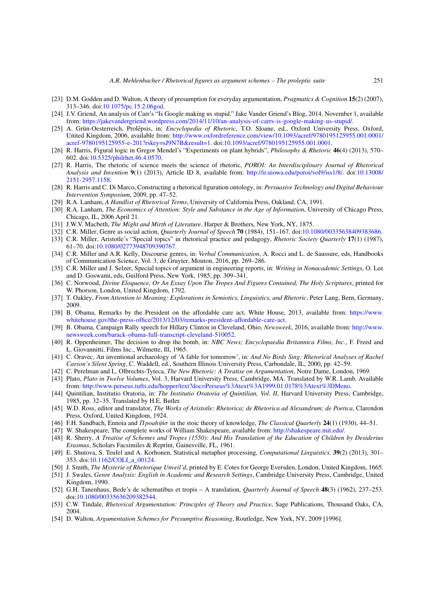- <span id="page-18-17"></span>[23] D.M. Godden and D. Walton, A theory of presumption for everyday argumentation, *Pragmatics & Cognition* **15**(2) (2007), 313–346. doi[:10.1075/pc.15.2.06god.](http://dx.doi.org/10.1075/pc.15.2.06god)
- <span id="page-18-8"></span>[24] J.V. Griend, An analysis of Carr's "Is Google making us stupid." Jake Vander Griend's Blog, 2014, November 1, available from: [https://jakevandergriend.wordpress.com/2014/11/10/an-analysis-of-carrs-is-google-making-us-stupid/.](https://jakevandergriend.wordpress.com/2014/11/10/an-analysis-of-carrs-is-google-making-us-stupid/)
- <span id="page-18-5"></span>[25] A. Grün-Oesterreich, Prolepsis, in: *Encyclopedia of Rhetoric*, T.O. Sloane, ed., Oxford University Press, Oxford, United Kingdom, 2006, available from: [http://www.oxfordreference.com/view/10.1093/acref/9780195125955.001.0001/](http://www.oxfordreference.com/view/10.1093/acref/9780195125955.001.0001/acref-9780195125955-e-201?rskey=sJ9N7B&result=1) [acref-9780195125955-e-201?rskey=sJ9N7B&result=1.](http://www.oxfordreference.com/view/10.1093/acref/9780195125955.001.0001/acref-9780195125955-e-201?rskey=sJ9N7B&result=1) doi[:10.1093/acref/9780195125955.001.0001.](http://dx.doi.org/10.1093/acref/9780195125955.001.0001)
- <span id="page-18-2"></span>[26] R. Harris, Figural logic in Gregor Mendel's "Experiments on plant hybrids", *Philosophy & Rhetoric* **46**(4) (2013), 570– 602. doi[:10.5325/philrhet.46.4.0570.](http://dx.doi.org/10.5325/philrhet.46.4.0570)
- <span id="page-18-18"></span>[27] R. Harris, The rhetoric of science meets the science of rhetoric, *POROI: An Interdisciplinary Journal of Rhetorical Analysis and Invention* **9**(1) (2013), Article ID 8, available from: [http://ir.uiowa.edu/poroi/vol9/iss1/8/.](http://ir.uiowa.edu/poroi/vol9/iss1/8/) doi[:10.13008/](http://dx.doi.org/10.13008/2151-2957.1158) [2151-2957.1158.](http://dx.doi.org/10.13008/2151-2957.1158)
- <span id="page-18-0"></span>[28] R. Harris and C. Di Marco, Constructing a rhetorical figuration ontology, in: *Persuasive Technology and Digital Behaviour Intervention Symposium*, 2009, pp. 47–52.
- <span id="page-18-26"></span>[29] R.A. Lanham, *A Handlist of Rhetorical Terms*, University of California Press, Oakland, CA, 1991.
- <span id="page-18-30"></span>[30] R.A. Lanham, *The Economics of Attention: Style and Substance in the Age of Information*, University of Chicago Press, Chicago, IL, 2006 April 21.
- <span id="page-18-25"></span>[31] J.W.V. Macbeth, *The Might and Mirth of Literature*, Harper & Brothers, New York, NY, 1875.
- <span id="page-18-14"></span>[32] C.R. Miller, Genre as social action, *Quarterly Journal of Speech* **70** (1984), 151–167. doi[:10.1080/00335638409383686.](http://dx.doi.org/10.1080/00335638409383686)
- <span id="page-18-12"></span>[33] C.R. Miller, Aristotle's "Special topics" in rhetorical practice and pedagogy, *Rhetoric Society Quarterly* **17**(1) (1987), 61–70. doi[:10.1080/02773948709390767.](http://dx.doi.org/10.1080/02773948709390767)
- <span id="page-18-16"></span>[34] C.R. Miller and A.R. Kelly, Discourse genres, in: *Verbal Communication*, A. Rocci and L. de Saussure, eds, Handbooks of Communication Science, Vol. 3, de Gruyter, Mouton, 2016, pp. 269–286.
- <span id="page-18-13"></span>[35] C.R. Miller and J. Selzer, Special topics of argument in engineering reports, in: *Writing in Nonacademic Settings*, O. Lee and D. Goswami, eds, Guilford Press, New York, 1985, pp. 309–341.
- <span id="page-18-20"></span>[36] C. Norwood, *Divine Eloquence, Or An Essay Upon The Tropes And Figures Contained, The Holy Scriptures*, printed for W. Phorson, London, United Kingdom, 1792.
- <span id="page-18-3"></span>[37] T. Oakley, *From Attention to Meaning: Explorations in Semiotics, Linguistics, and Rhetoric*, Peter Lang, Bern, Germany, 2009.
- <span id="page-18-24"></span>[38] B. Obama, Remarks by the President on the affordable care act, White House, 2013, available from: [https://www.](https://www.whitehouse.gov/the-press-office/2013/12/03/remarks-president-affordable-care-act) [whitehouse.gov/the-press-office/2013/12/03/remarks-president-affordable-care-act.](https://www.whitehouse.gov/the-press-office/2013/12/03/remarks-president-affordable-care-act)
- <span id="page-18-23"></span>[39] B. Obama, Campaign Rally speech for Hillary Clinton in Cleveland, Ohio, *Newsweek*, 2016, available from: [http://www.](http://www.newsweek.com/barack-obama-full-transcript-cleveland-510052) [newsweek.com/barack-obama-full-transcript-cleveland-510052.](http://www.newsweek.com/barack-obama-full-transcript-cleveland-510052)
- <span id="page-18-27"></span>[40] R. Oppenheimer, The decision to drop the bomb, in: *NBC News; Encyclopaedia Britannica Films, Inc.*, F. Freed and L. Giovannitti, Films Inc., Wilmette, Ill, 1965.
- <span id="page-18-28"></span>[41] C. Oravec, An inventional archaeology of 'A fable for tomorrow', in: *And No Birds Sing: Rhetorical Analyses of Rachel Carson's Silent Spring*, C. Waddell, ed., Southern Illinois University Press, Carbondale, IL, 2000, pp. 42–59.
- <span id="page-18-11"></span>[42] C. Perelman and L. Olbrechts-Tyteca, *The New Rhetoric: A Treatise on Argumentation*, Notre Dame, London, 1969.
- <span id="page-18-31"></span>[43] Plato, *Plato in Twelve Volumes*, Vol. 3, Harvard University Press, Cambridge, MA. Translated by W.R. Lamb. Available from: [http://www.perseus.tufts.edu/hopper/text?doc=Perseus%3Atext%3A1999.01.0178%3Atext%3DMeno.](http://www.perseus.tufts.edu/hopper/text?doc=Perseus%3Atext%3A1999.01.0178%3Atext%3DMeno)
- <span id="page-18-21"></span>[44] Quintilian, Institutio Oratoria, in: *The Institutio Oratoria of Quintilian, Vol. II*, Harvard University Press, Cambridge, 1985, pp. 32–35. Translated by H.E. Butler.
- <span id="page-18-19"></span>[45] W.D. Ross, editor and translator, *The Works of Aristotle: Rhetorica; de Rhetorica ad Alexandrum; de Poetica*, Clarendon Press, Oxford, United Kingdom, 1924.
- <span id="page-18-29"></span>[46] F.H. Sandbach, Ennoia and *Πpoahψiσ* in the stoic theory of knowledge, *The Classical Quarterly* **24**(1) (1930), 44–51.
- <span id="page-18-6"></span>[47] W. Shakespeare, The complete works of William Shakespeare, available from: [http://shakespeare.mit.edu/.](http://shakespeare.mit.edu/)
- <span id="page-18-10"></span>[48] R. Sherry, *A Treatise of Schemes and Tropes (1550): And His Translation of the Education of Children by Desiderius Erasmus*, Scholars Facsimiles & Reprint, Gainesville, FL, 1961.
- <span id="page-18-1"></span>[49] E. Shutova, S. Teufel and A. Korhonen, Statistical metaphor processing, *Computational Linguistics.* **39**(2) (2013), 301– 353. doi[:10.1162/COLI\\_a\\_00124.](http://dx.doi.org/10.1162/COLI_a_00124)
- <span id="page-18-22"></span>[50] J. Smith, *The Mysterie of Rhetorique Unveil'd*, printed by E. Cotes for George Eversden, London, United Kingdom, 1665.
- <span id="page-18-15"></span>[51] J. Swales, *Genre Analysis: English in Academic and Research Settings*, Cambridge University Press, Cambridge, United Kingdom, 1990.
- <span id="page-18-9"></span>[52] G.H. Tanenhaus, Bede's de schematibus et tropis – A translation, *Quarterly Journal of Speech* **48**(3) (1962), 237–253. doi[:10.1080/00335636209382544.](http://dx.doi.org/10.1080/00335636209382544)
- <span id="page-18-7"></span>[53] C.W. Tindale, *Rhetorical Argumentation: Principles of Theory and Practice*, Sage Publications, Thousand Oaks, CA, 2004.
- <span id="page-18-4"></span>[54] D. Walton, *Argumentation Schemes for Presumptive Reasoning*, Routledge, New York, NY, 2009 [1996].